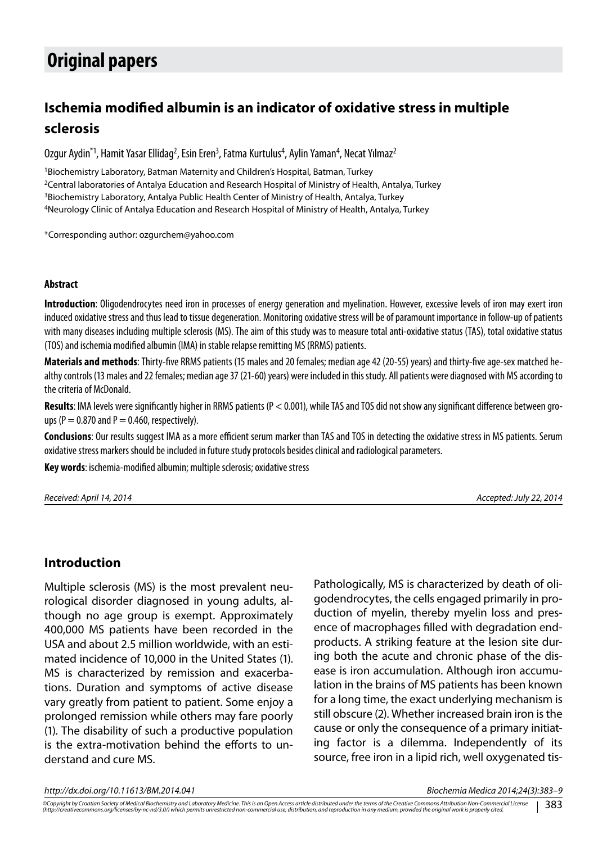# **Original papers**

## **Ischemia modified albumin is an indicator of oxidative stress in multiple sclerosis**

Ozgur Aydin<sup>\*1</sup>, Hamit Yasar Ellidag<sup>2</sup>, Esin Eren<sup>3</sup>, Fatma Kurtulus<sup>4</sup>, Aylin Yaman<sup>4</sup>, Necat Yılmaz<sup>2</sup>

<sup>1</sup>Biochemistry Laboratory, Batman Maternity and Children's Hospital, Batman, Turkey 2Central laboratories of Antalya Education and Research Hospital of Ministry of Health, Antalya, Turkey <sup>3</sup>Biochemistry Laboratory, Antalya Public Health Center of Ministry of Health, Antalya, Turkey 4Neurology Clinic of Antalya Education and Research Hospital of Ministry of Health, Antalya, Turkey

\*Corresponding author: ozgurchem@yahoo.com

#### **Abstract**

**Introduction**: Oligodendrocytes need iron in processes of energy generation and myelination. However, excessive levels of iron may exert iron induced oxidative stress and thus lead to tissue degeneration. Monitoring oxidative stress will be of paramount importance in follow-up of patients with many diseases including multiple sclerosis (MS). The aim of this study was to measure total anti-oxidative status (TAS), total oxidative status (TOS) and ischemia modified albumin (IMA) in stable relapse remitting MS (RRMS) patients.

**Materials and methods**: Thirty-five RRMS patients (15 males and 20 females; median age 42 (20-55) years) and thirty-five age-sex matched healthy controls (13 males and 22 females; median age 37 (21-60) years) were included in this study. All patients were diagnosed with MS according to the criteria of McDonald.

**Results**: IMA levels were significantly higher in RRMS patients (P < 0.001), while TAS and TOS did not show any significant difference between groups (P = 0.870 and P = 0.460, respectively).

**Conclusions**: Our results suggest IMA as a more efficient serum marker than TAS and TOS in detecting the oxidative stress in MS patients. Serum oxidative stress markers should be included in future study protocols besides clinical and radiological parameters.

**Key words**: ischemia-modified albumin; multiple sclerosis; oxidative stress

*Received: April 14, 2014 Accepted: July 22, 2014*

#### **Introduction**

Multiple sclerosis (MS) is the most prevalent neurological disorder diagnosed in young adults, although no age group is exempt. Approximately 400,000 MS patients have been recorded in the USA and about 2.5 million worldwide, with an estimated incidence of 10,000 in the United States (1). MS is characterized by remission and exacerbations. Duration and symptoms of active disease vary greatly from patient to patient. Some enjoy a prolonged remission while others may fare poorly (1). The disability of such a productive population is the extra-motivation behind the efforts to understand and cure MS.

Pathologically, MS is characterized by death of oligodendrocytes, the cells engaged primarily in production of myelin, thereby myelin loss and presence of macrophages filled with degradation endproducts. A striking feature at the lesion site during both the acute and chronic phase of the disease is iron accumulation. Although iron accumulation in the brains of MS patients has been known for a long time, the exact underlying mechanism is still obscure (2). Whether increased brain iron is the cause or only the consequence of a primary initiating factor is a dilemma. Independently of its source, free iron in a lipid rich, well oxygenated tis-

*http://dx.doi.org/10.11613/BM.2014.041 Biochemia Medica 2014;24(3):383–9*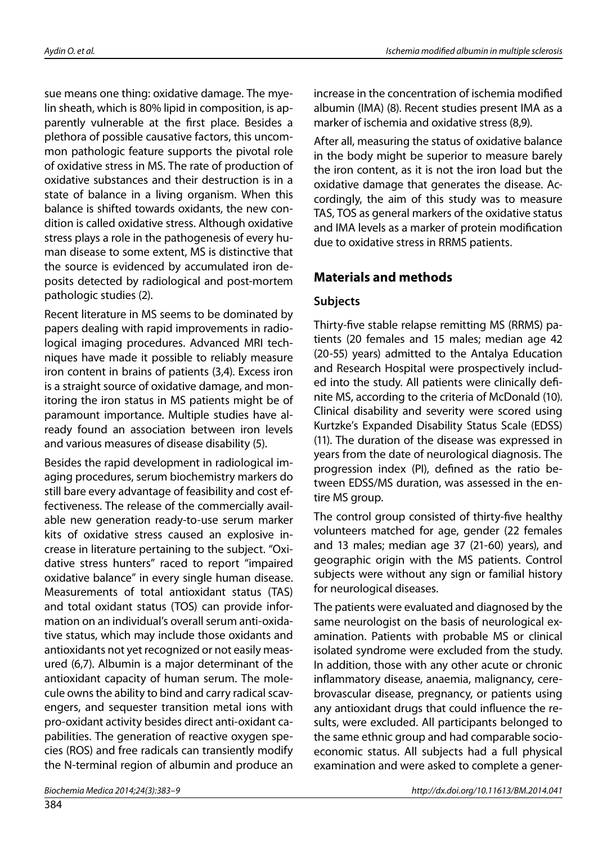sue means one thing: oxidative damage. The myelin sheath, which is 80% lipid in composition, is apparently vulnerable at the first place. Besides a plethora of possible causative factors, this uncommon pathologic feature supports the pivotal role of oxidative stress in MS. The rate of production of oxidative substances and their destruction is in a state of balance in a living organism. When this balance is shifted towards oxidants, the new condition is called oxidative stress. Although oxidative stress plays a role in the pathogenesis of every human disease to some extent, MS is distinctive that the source is evidenced by accumulated iron deposits detected by radiological and post-mortem pathologic studies (2).

Recent literature in MS seems to be dominated by papers dealing with rapid improvements in radiological imaging procedures. Advanced MRI techniques have made it possible to reliably measure iron content in brains of patients (3,4). Excess iron is a straight source of oxidative damage, and monitoring the iron status in MS patients might be of paramount importance. Multiple studies have already found an association between iron levels and various measures of disease disability (5).

Besides the rapid development in radiological imaging procedures, serum biochemistry markers do still bare every advantage of feasibility and cost effectiveness. The release of the commercially available new generation ready-to-use serum marker kits of oxidative stress caused an explosive increase in literature pertaining to the subject. "Oxidative stress hunters" raced to report "impaired oxidative balance" in every single human disease. Measurements of total antioxidant status (TAS) and total oxidant status (TOS) can provide information on an individual's overall serum anti-oxidative status, which may include those oxidants and antioxidants not yet recognized or not easily measured (6,7). Albumin is a major determinant of the antioxidant capacity of human serum. The molecule owns the ability to bind and carry radical scavengers, and sequester transition metal ions with pro-oxidant activity besides direct anti-oxidant capabilities. The generation of reactive oxygen species (ROS) and free radicals can transiently modify the N-terminal region of albumin and produce an increase in the concentration of ischemia modified albumin (IMA) (8). Recent studies present IMA as a marker of ischemia and oxidative stress (8,9).

After all, measuring the status of oxidative balance in the body might be superior to measure barely the iron content, as it is not the iron load but the oxidative damage that generates the disease. Accordingly, the aim of this study was to measure TAS, TOS as general markers of the oxidative status and IMA levels as a marker of protein modification due to oxidative stress in RRMS patients.

## **Materials and methods**

### **Subjects**

Thirty-five stable relapse remitting MS (RRMS) patients (20 females and 15 males; median age 42 (20-55) years) admitted to the Antalya Education and Research Hospital were prospectively included into the study. All patients were clinically definite MS, according to the criteria of McDonald (10). Clinical disability and severity were scored using Kurtzke's Expanded Disability Status Scale (EDSS) (11). The duration of the disease was expressed in years from the date of neurological diagnosis. The progression index (PI), defined as the ratio between EDSS/MS duration, was assessed in the entire MS group.

The control group consisted of thirty-five healthy volunteers matched for age, gender (22 females and 13 males; median age 37 (21-60) years), and geographic origin with the MS patients. Control subjects were without any sign or familial history for neurological diseases.

The patients were evaluated and diagnosed by the same neurologist on the basis of neurological examination. Patients with probable MS or clinical isolated syndrome were excluded from the study. In addition, those with any other acute or chronic inflammatory disease, anaemia, malignancy, cerebrovascular disease, pregnancy, or patients using any antioxidant drugs that could influence the results, were excluded. All participants belonged to the same ethnic group and had comparable socioeconomic status. All subjects had a full physical examination and were asked to complete a gener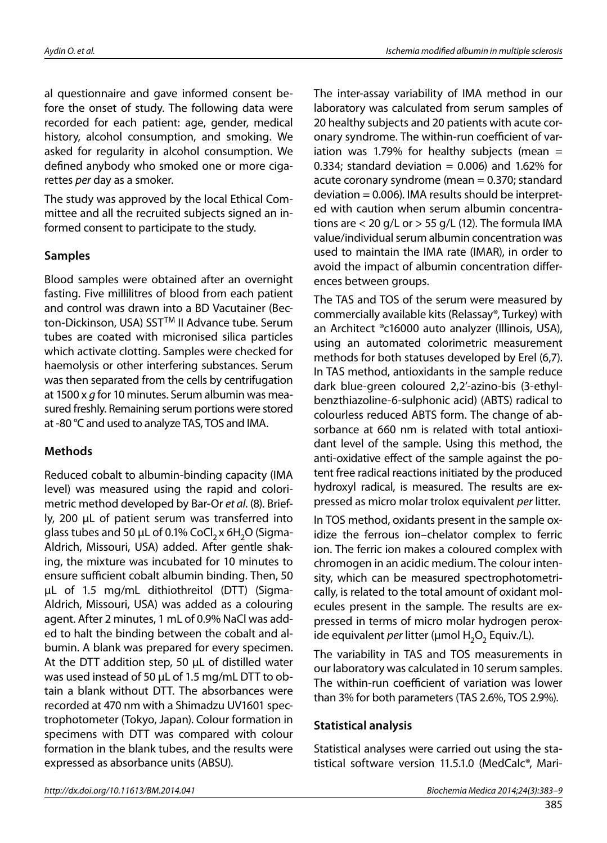al questionnaire and gave informed consent before the onset of study. The following data were recorded for each patient: age, gender, medical history, alcohol consumption, and smoking. We asked for regularity in alcohol consumption. We defined anybody who smoked one or more cigarettes *per* day as a smoker.

The study was approved by the local Ethical Committee and all the recruited subjects signed an informed consent to participate to the study.

#### **Samples**

Blood samples were obtained after an overnight fasting. Five millilitres of blood from each patient and control was drawn into a BD Vacutainer (Becton-Dickinson, USA) SST™ II Advance tube. Serum tubes are coated with micronised silica particles which activate clotting. Samples were checked for haemolysis or other interfering substances. Serum was then separated from the cells by centrifugation at 1500 x *g* for 10 minutes. Serum albumin was measured freshly. Remaining serum portions were stored at -80 °C and used to analyze TAS, TOS and IMA.

#### **Methods**

Reduced cobalt to albumin-binding capacity (IMA level) was measured using the rapid and colorimetric method developed by Bar-Or *et al*. (8). Briefly, 200 μL of patient serum was transferred into glass tubes and 50  $\mu$ L of 0.1% CoCl<sub>2</sub> x 6H<sub>2</sub>O (Sigma-Aldrich, Missouri, USA) added. After gentle shaking, the mixture was incubated for 10 minutes to ensure sufficient cobalt albumin binding. Then, 50 μL of 1.5 mg/mL dithiothreitol (DTT) (Sigma-Aldrich, Missouri, USA) was added as a colouring agent. After 2 minutes, 1 mL of 0.9% NaCl was added to halt the binding between the cobalt and albumin. A blank was prepared for every specimen. At the DTT addition step, 50 μL of distilled water was used instead of 50 μL of 1.5 mg/mL DTT to obtain a blank without DTT. The absorbances were recorded at 470 nm with a Shimadzu UV1601 spectrophotometer (Tokyo, Japan). Colour formation in specimens with DTT was compared with colour formation in the blank tubes, and the results were expressed as absorbance units (ABSU).

The inter-assay variability of IMA method in our laboratory was calculated from serum samples of 20 healthy subjects and 20 patients with acute coronary syndrome. The within-run coefficient of variation was 1.79% for healthy subjects (mean  $=$ 0.334; standard deviation = 0.006) and 1.62% for acute coronary syndrome (mean = 0.370; standard  $deviation = 0.006$ ). IMA results should be interpreted with caution when serum albumin concentrations are  $<$  20 g/L or  $>$  55 g/L (12). The formula IMA value/individual serum albumin concentration was used to maintain the IMA rate (IMAR), in order to avoid the impact of albumin concentration differences between groups.

The TAS and TOS of the serum were measured by commercially available kits (Relassay®, Turkey) with an Architect ®c16000 auto analyzer (Illinois, USA), using an automated colorimetric measurement methods for both statuses developed by Erel (6,7). In TAS method, antioxidants in the sample reduce dark blue-green coloured 2,2'-azino-bis (3-ethylbenzthiazoline-6-sulphonic acid) (ABTS) radical to colourless reduced ABTS form. The change of absorbance at 660 nm is related with total antioxidant level of the sample. Using this method, the anti-oxidative effect of the sample against the potent free radical reactions initiated by the produced hydroxyl radical, is measured. The results are expressed as micro molar trolox equivalent *per* litter.

In TOS method, oxidants present in the sample oxidize the ferrous ion–chelator complex to ferric ion. The ferric ion makes a coloured complex with chromogen in an acidic medium. The colour intensity, which can be measured spectrophotometrically, is related to the total amount of oxidant molecules present in the sample. The results are expressed in terms of micro molar hydrogen peroxide equivalent *per* litter (μmol H<sub>2</sub>O<sub>2</sub> Equiv./L).

The variability in TAS and TOS measurements in our laboratory was calculated in 10 serum samples. The within-run coefficient of variation was lower than 3% for both parameters (TAS 2.6%, TOS 2.9%).

#### **Statistical analysis**

Statistical analyses were carried out using the statistical software version 11.5.1.0 (MedCalc®, Mari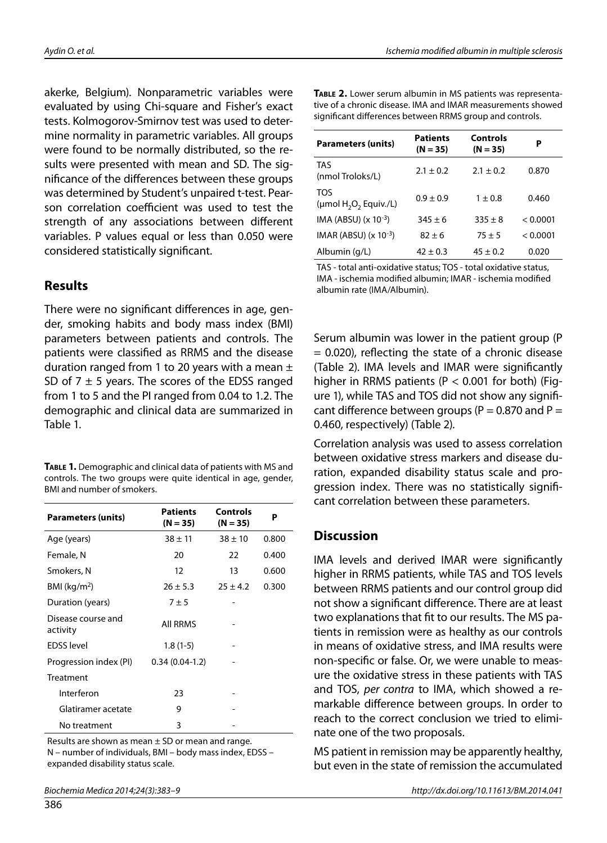akerke, Belgium). Nonparametric variables were evaluated by using Chi-square and Fisher's exact tests. Kolmogorov-Smirnov test was used to determine normality in parametric variables. All groups were found to be normally distributed, so the results were presented with mean and SD. The significance of the differences between these groups was determined by Student's unpaired t-test. Pearson correlation coefficient was used to test the strength of any associations between different variables. P values equal or less than 0.050 were considered statistically significant*.*

#### **Results**

There were no significant differences in age, gender, smoking habits and body mass index (BMI) parameters between patients and controls. The patients were classified as RRMS and the disease duration ranged from 1 to 20 years with a mean  $\pm$ SD of  $7 \pm 5$  years. The scores of the EDSS ranged from 1 to 5 and the PI ranged from 0.04 to 1.2. The demographic and clinical data are summarized in Table 1.

**Table 1.** Demographic and clinical data of patients with MS and controls. The two groups were quite identical in age, gender, BMI and number of smokers.

| <b>Parameters (units)</b>      | <b>Patients</b><br>$(N = 35)$ | Controls<br>$(N = 35)$ | P     |
|--------------------------------|-------------------------------|------------------------|-------|
| Age (years)                    | $38 \pm 11$                   | $38 \pm 10$            | 0.800 |
| Female, N                      | 20                            | 22                     | 0.400 |
| Smokers, N                     | 12                            | 13                     | 0.600 |
| $BMI$ (kg/m <sup>2</sup> )     | $26 \pm 5.3$                  | $25 \pm 4.2$           | 0.300 |
| Duration (years)               | $7 \pm 5$                     |                        |       |
| Disease course and<br>activity | <b>AII RRMS</b>               |                        |       |
| <b>EDSS</b> level              | $1.8(1-5)$                    |                        |       |
| Progression index (PI)         | $0.34(0.04-1.2)$              |                        |       |
| Treatment                      |                               |                        |       |
| Interferon                     | 23                            |                        |       |
| Glatiramer acetate             | 9                             |                        |       |
| No treatment                   | 3                             |                        |       |

Results are shown as mean  $\pm$  SD or mean and range. N – number of individuals, BMI – body mass index, EDSS – expanded disability status scale.

| <b>Parameters (units)</b>                                         | <b>Patients</b><br>$(N = 35)$ | Controls<br>$(N = 35)$ | Р        |
|-------------------------------------------------------------------|-------------------------------|------------------------|----------|
| <b>TAS</b><br>(nmol Troloks/L)                                    | $2.1 + 0.2$                   | $2.1 + 0.2$            | 0.870    |
| <b>TOS</b><br>( $\mu$ mol H <sub>2</sub> O <sub>2</sub> Equiv./L) | $0.9 + 0.9$                   | $1 + 0.8$              | 0.460    |
| IMA (ABSU) $(x 10^{-3})$                                          | $345 + 6$                     | $335 + 8$              | < 0.0001 |
| IMAR (ABSU) $(x 10^{-3})$                                         | $82 + 6$                      | $75 + 5$               | < 0.0001 |
| Albumin (g/L)                                                     | $42 \pm 0.3$                  | $45 + 0.2$             | 0.020    |

TAS - total anti-oxidative status; TOS - total oxidative status, IMA - ischemia modified albumin; IMAR - ischemia modified albumin rate (IMA/Albumin).

Serum albumin was lower in the patient group (P  $= 0.020$ ), reflecting the state of a chronic disease (Table 2). IMA levels and IMAR were significantly higher in RRMS patients ( $P < 0.001$  for both) (Figure 1), while TAS and TOS did not show any significant difference between groups ( $P = 0.870$  and  $P =$ 0.460, respectively) (Table 2).

Correlation analysis was used to assess correlation between oxidative stress markers and disease duration, expanded disability status scale and progression index. There was no statistically significant correlation between these parameters.

#### **Discussion**

IMA levels and derived IMAR were significantly higher in RRMS patients, while TAS and TOS levels between RRMS patients and our control group did not show a significant difference. There are at least two explanations that fit to our results. The MS patients in remission were as healthy as our controls in means of oxidative stress, and IMA results were non-specific or false. Or, we were unable to measure the oxidative stress in these patients with TAS and TOS, *per contra* to IMA, which showed a remarkable difference between groups. In order to reach to the correct conclusion we tried to eliminate one of the two proposals.

MS patient in remission may be apparently healthy, but even in the state of remission the accumulated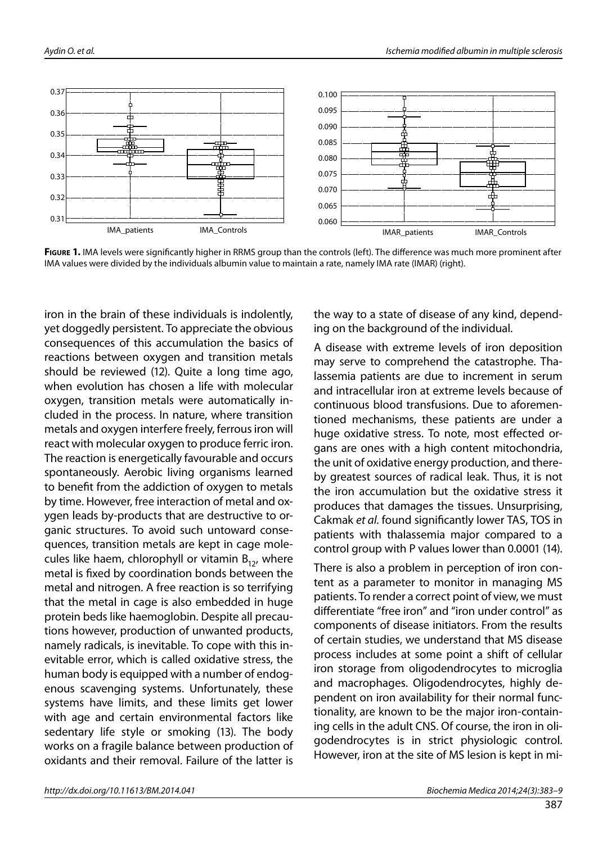



Figure 1. IMA levels were significantly higher in RRMS group than the controls (left). The difference was much more prominent after IMA values were divided by the individuals albumin value to maintain a rate, namely IMA rate (IMAR) (right).

iron in the brain of these individuals is indolently, yet doggedly persistent. To appreciate the obvious consequences of this accumulation the basics of reactions between oxygen and transition metals should be reviewed (12). Quite a long time ago, when evolution has chosen a life with molecular oxygen, transition metals were automatically included in the process. In nature, where transition metals and oxygen interfere freely, ferrous iron will react with molecular oxygen to produce ferric iron. The reaction is energetically favourable and occurs spontaneously. Aerobic living organisms learned to benefit from the addiction of oxygen to metals by time. However, free interaction of metal and oxygen leads by-products that are destructive to organic structures. To avoid such untoward consequences, transition metals are kept in cage molecules like haem, chlorophyll or vitamin  $B_{12}$ , where metal is fixed by coordination bonds between the metal and nitrogen. A free reaction is so terrifying that the metal in cage is also embedded in huge protein beds like haemoglobin. Despite all precautions however, production of unwanted products, namely radicals, is inevitable. To cope with this inevitable error, which is called oxidative stress, the human body is equipped with a number of endogenous scavenging systems. Unfortunately, these systems have limits, and these limits get lower with age and certain environmental factors like sedentary life style or smoking (13). The body works on a fragile balance between production of oxidants and their removal. Failure of the latter is

the way to a state of disease of any kind, depending on the background of the individual.

A disease with extreme levels of iron deposition may serve to comprehend the catastrophe. Thalassemia patients are due to increment in serum and intracellular iron at extreme levels because of continuous blood transfusions. Due to aforementioned mechanisms, these patients are under a huge oxidative stress. To note, most effected organs are ones with a high content mitochondria, the unit of oxidative energy production, and thereby greatest sources of radical leak. Thus, it is not the iron accumulation but the oxidative stress it produces that damages the tissues. Unsurprising, Cakmak *et al*. found significantly lower TAS, TOS in patients with thalassemia major compared to a control group with P values lower than 0.0001 (14).

There is also a problem in perception of iron content as a parameter to monitor in managing MS patients. To render a correct point of view, we must differentiate "free iron" and "iron under control" as components of disease initiators. From the results of certain studies, we understand that MS disease process includes at some point a shift of cellular iron storage from oligodendrocytes to microglia and macrophages. Oligodendrocytes, highly dependent on iron availability for their normal functionality, are known to be the major iron-containing cells in the adult CNS. Of course, the iron in oligodendrocytes is in strict physiologic control. However, iron at the site of MS lesion is kept in mi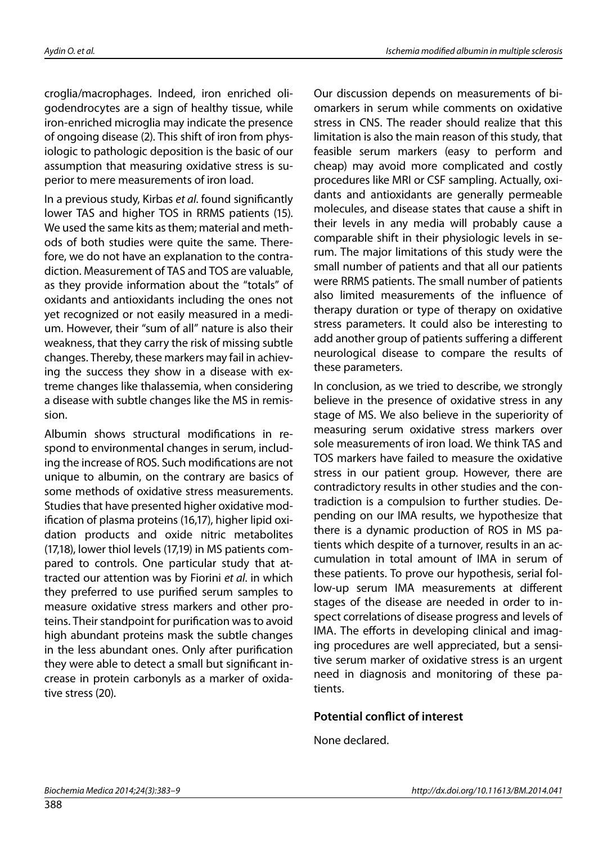croglia/macrophages. Indeed, iron enriched oligodendrocytes are a sign of healthy tissue, while iron-enriched microglia may indicate the presence of ongoing disease (2). This shift of iron from physiologic to pathologic deposition is the basic of our assumption that measuring oxidative stress is superior to mere measurements of iron load.

In a previous study, Kirbas *et al*. found significantly lower TAS and higher TOS in RRMS patients (15). We used the same kits as them; material and methods of both studies were quite the same. Therefore, we do not have an explanation to the contradiction. Measurement of TAS and TOS are valuable, as they provide information about the "totals" of oxidants and antioxidants including the ones not yet recognized or not easily measured in a medium. However, their "sum of all" nature is also their weakness, that they carry the risk of missing subtle changes. Thereby, these markers may fail in achieving the success they show in a disease with extreme changes like thalassemia, when considering a disease with subtle changes like the MS in remission.

Albumin shows structural modifications in respond to environmental changes in serum, including the increase of ROS. Such modifications are not unique to albumin, on the contrary are basics of some methods of oxidative stress measurements. Studies that have presented higher oxidative modification of plasma proteins (16,17), higher lipid oxidation products and oxide nitric metabolites (17,18), lower thiol levels (17,19) in MS patients compared to controls. One particular study that attracted our attention was by Fiorini *et al*. in which they preferred to use purified serum samples to measure oxidative stress markers and other proteins. Their standpoint for purification was to avoid high abundant proteins mask the subtle changes in the less abundant ones. Only after purification they were able to detect a small but significant increase in protein carbonyls as a marker of oxidative stress (20).

Our discussion depends on measurements of biomarkers in serum while comments on oxidative stress in CNS. The reader should realize that this limitation is also the main reason of this study, that feasible serum markers (easy to perform and cheap) may avoid more complicated and costly procedures like MRI or CSF sampling. Actually, oxidants and antioxidants are generally permeable molecules, and disease states that cause a shift in their levels in any media will probably cause a comparable shift in their physiologic levels in serum. The major limitations of this study were the small number of patients and that all our patients were RRMS patients. The small number of patients also limited measurements of the influence of therapy duration or type of therapy on oxidative stress parameters. It could also be interesting to add another group of patients suffering a different neurological disease to compare the results of these parameters.

In conclusion, as we tried to describe, we strongly believe in the presence of oxidative stress in any stage of MS. We also believe in the superiority of measuring serum oxidative stress markers over sole measurements of iron load. We think TAS and TOS markers have failed to measure the oxidative stress in our patient group. However, there are contradictory results in other studies and the contradiction is a compulsion to further studies. Depending on our IMA results, we hypothesize that there is a dynamic production of ROS in MS patients which despite of a turnover, results in an accumulation in total amount of IMA in serum of these patients. To prove our hypothesis, serial follow-up serum IMA measurements at different stages of the disease are needed in order to inspect correlations of disease progress and levels of IMA. The efforts in developing clinical and imaging procedures are well appreciated, but a sensitive serum marker of oxidative stress is an urgent need in diagnosis and monitoring of these patients.

#### **Potential conflict of interest**

None declared.